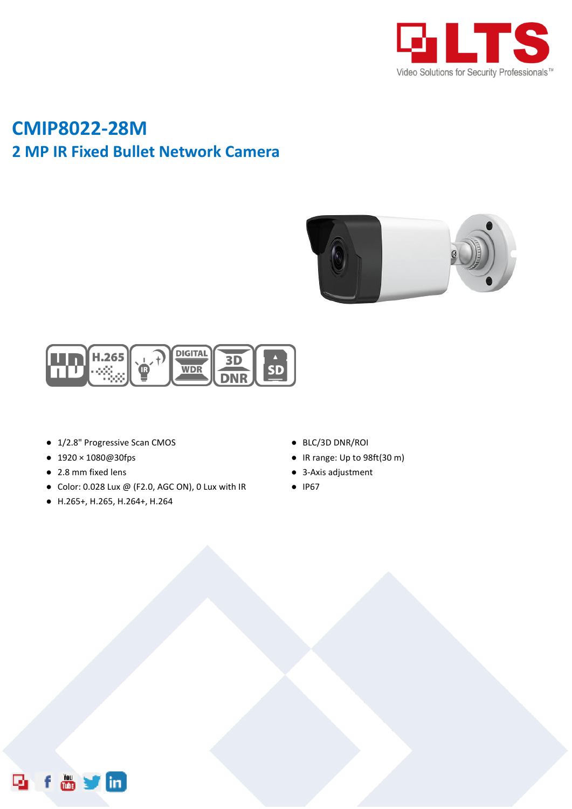

## **CMIP8022-28M 2 MP IR Fixed Bullet Network Camera**





- 1/2.8" Progressive Scan CMOS
- 1920×1080@30fps
- 2.8 mm fixed lens
- Color: 0.028 Lux @ (F2.0, AGC ON), 0 Lux with IR
- H.265+, H.265, H.264+, H.264
- BLC/3D DNR/ROI
- IR range: Up to 98ft(30 m)
- 3-Axis adjustment
- IP67

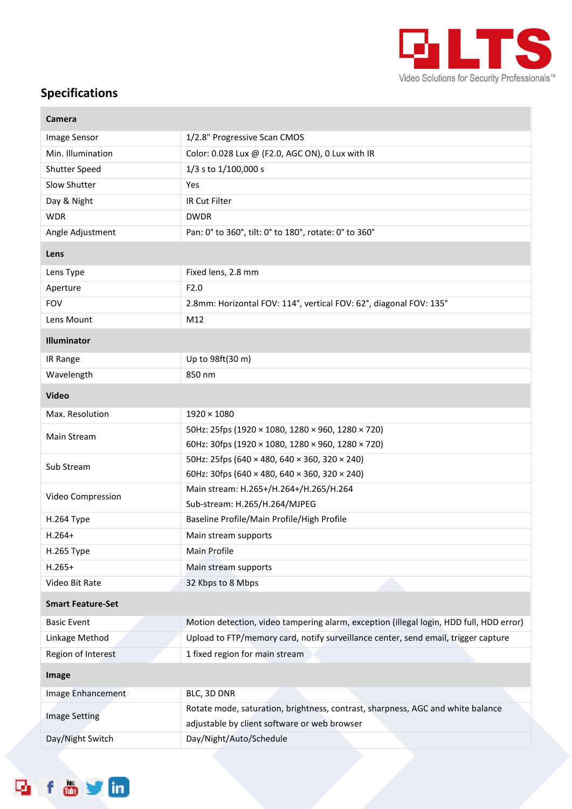

## **Specifications**

| Camera                   |                                                                                         |
|--------------------------|-----------------------------------------------------------------------------------------|
| Image Sensor             | 1/2.8" Progressive Scan CMOS                                                            |
| Min. Illumination        | Color: 0.028 Lux @ (F2.0, AGC ON), 0 Lux with IR                                        |
| Shutter Speed            | 1/3 s to 1/100,000 s                                                                    |
| Slow Shutter             | Yes                                                                                     |
| Day & Night              | <b>IR Cut Filter</b>                                                                    |
| <b>WDR</b>               | <b>DWDR</b>                                                                             |
| Angle Adjustment         | Pan: 0° to 360°, tilt: 0° to 180°, rotate: 0° to 360°                                   |
| Lens                     |                                                                                         |
| Lens Type                | Fixed lens, 2.8 mm                                                                      |
| Aperture                 | F2.0                                                                                    |
| <b>FOV</b>               | 2.8mm: Horizontal FOV: 114°, vertical FOV: 62°, diagonal FOV: 135°                      |
| Lens Mount               | M12                                                                                     |
| <b>Illuminator</b>       |                                                                                         |
| IR Range                 | Up to 98ft(30 m)                                                                        |
| Wavelength               | 850 nm                                                                                  |
| <b>Video</b>             |                                                                                         |
| Max. Resolution          | $1920 \times 1080$                                                                      |
| Main Stream              | 50Hz: 25fps (1920 × 1080, 1280 × 960, 1280 × 720)                                       |
|                          | 60Hz: 30fps (1920 × 1080, 1280 × 960, 1280 × 720)                                       |
| Sub Stream               | 50Hz: 25fps (640 × 480, 640 × 360, 320 × 240)                                           |
|                          | 60Hz: 30fps (640 × 480, 640 × 360, 320 × 240)                                           |
| Video Compression        | Main stream: H.265+/H.264+/H.265/H.264                                                  |
|                          | Sub-stream: H.265/H.264/MJPEG                                                           |
| <b>H.264 Type</b>        | Baseline Profile/Main Profile/High Profile                                              |
| $H.264+$                 | Main stream supports                                                                    |
| H.265 Type               | Main Profile                                                                            |
| $H.265+$                 | Main stream supports                                                                    |
| Video Bit Rate           | 32 Kbps to 8 Mbps                                                                       |
| <b>Smart Feature-Set</b> |                                                                                         |
| <b>Basic Event</b>       | Motion detection, video tampering alarm, exception (illegal login, HDD full, HDD error) |
| Linkage Method           | Upload to FTP/memory card, notify surveillance center, send email, trigger capture      |
| Region of Interest       | 1 fixed region for main stream                                                          |
| Image                    |                                                                                         |
| Image Enhancement        | BLC, 3D DNR                                                                             |
| <b>Image Setting</b>     | Rotate mode, saturation, brightness, contrast, sharpness, AGC and white balance         |
|                          | adjustable by client software or web browser                                            |
| Day/Night Switch         | Day/Night/Auto/Schedule                                                                 |

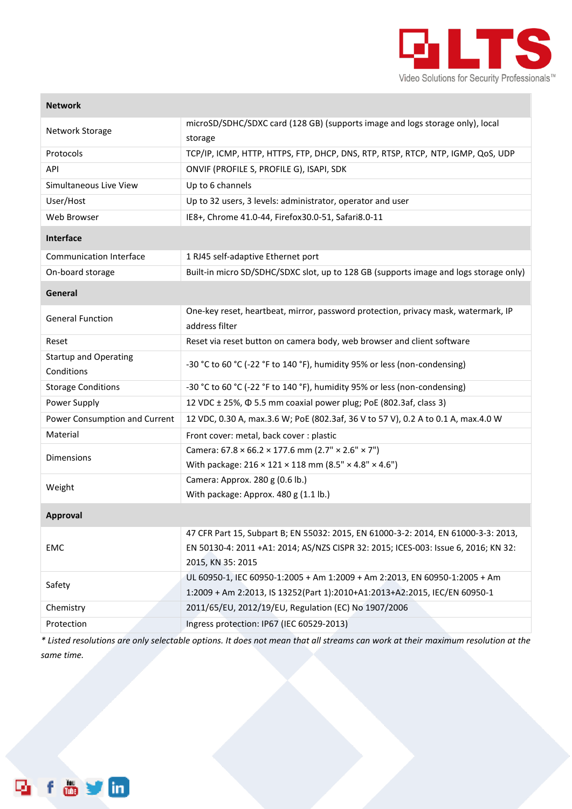

| <b>Network</b>                             |                                                                                                                                                                                               |
|--------------------------------------------|-----------------------------------------------------------------------------------------------------------------------------------------------------------------------------------------------|
| Network Storage                            | microSD/SDHC/SDXC card (128 GB) (supports image and logs storage only), local<br>storage                                                                                                      |
| Protocols                                  | TCP/IP, ICMP, HTTP, HTTPS, FTP, DHCP, DNS, RTP, RTSP, RTCP, NTP, IGMP, QoS, UDP                                                                                                               |
| API                                        | ONVIF (PROFILE S, PROFILE G), ISAPI, SDK                                                                                                                                                      |
| Simultaneous Live View                     | Up to 6 channels                                                                                                                                                                              |
| User/Host                                  | Up to 32 users, 3 levels: administrator, operator and user                                                                                                                                    |
| Web Browser                                | IE8+, Chrome 41.0-44, Firefox30.0-51, Safari8.0-11                                                                                                                                            |
| Interface                                  |                                                                                                                                                                                               |
| <b>Communication Interface</b>             | 1 RJ45 self-adaptive Ethernet port                                                                                                                                                            |
| On-board storage                           | Built-in micro SD/SDHC/SDXC slot, up to 128 GB (supports image and logs storage only)                                                                                                         |
| General                                    |                                                                                                                                                                                               |
| <b>General Function</b>                    | One-key reset, heartbeat, mirror, password protection, privacy mask, watermark, IP<br>address filter                                                                                          |
| Reset                                      | Reset via reset button on camera body, web browser and client software                                                                                                                        |
| <b>Startup and Operating</b><br>Conditions | -30 °C to 60 °C (-22 °F to 140 °F), humidity 95% or less (non-condensing)                                                                                                                     |
| <b>Storage Conditions</b>                  | -30 °C to 60 °C (-22 °F to 140 °F), humidity 95% or less (non-condensing)                                                                                                                     |
| Power Supply                               | 12 VDC ± 25%, $\Phi$ 5.5 mm coaxial power plug; PoE (802.3af, class 3)                                                                                                                        |
| Power Consumption and Current              | 12 VDC, 0.30 A, max.3.6 W; PoE (802.3af, 36 V to 57 V), 0.2 A to 0.1 A, max.4.0 W                                                                                                             |
| Material                                   | Front cover: metal, back cover : plastic                                                                                                                                                      |
| <b>Dimensions</b>                          | Camera: $67.8 \times 66.2 \times 177.6$ mm (2.7" $\times$ 2.6" $\times$ 7")<br>With package: $216 \times 121 \times 118$ mm (8.5" × 4.8" × 4.6")                                              |
| Weight                                     | Camera: Approx. 280 g (0.6 lb.)<br>With package: Approx. 480 g (1.1 lb.)                                                                                                                      |
| <b>Approval</b>                            |                                                                                                                                                                                               |
| <b>EMC</b>                                 | 47 CFR Part 15, Subpart B; EN 55032: 2015, EN 61000-3-2: 2014, EN 61000-3-3: 2013,<br>EN 50130-4: 2011 +A1: 2014; AS/NZS CISPR 32: 2015; ICES-003: Issue 6, 2016; KN 32:<br>2015, KN 35: 2015 |
| Safety                                     | UL 60950-1, IEC 60950-1:2005 + Am 1:2009 + Am 2:2013, EN 60950-1:2005 + Am<br>1:2009 + Am 2:2013, IS 13252(Part 1):2010+A1:2013+A2:2015, IEC/EN 60950-1                                       |
| Chemistry                                  | 2011/65/EU, 2012/19/EU, Regulation (EC) No 1907/2006                                                                                                                                          |
| Protection                                 | Ingress protection: IP67 (IEC 60529-2013)                                                                                                                                                     |

*\* Listed resolutions are only selectable options. It does not mean that all streams can work at their maximum resolution at the same time.*